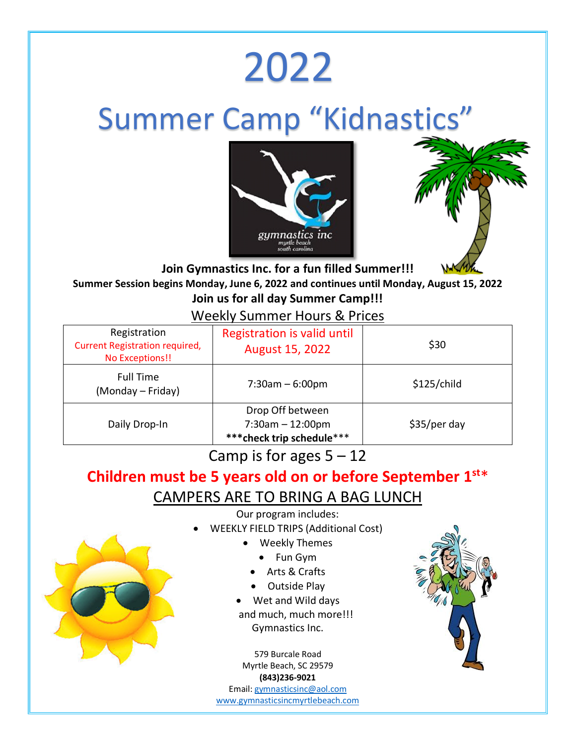# 2022

## **Summer Camp "Kidnastics"**





**Join Gymnastics Inc. for a fun filled Summer!!! Summer Session begins Monday, June 6, 2022 and continues until Monday, August 15, 2022 Join us for all day Summer Camp!!!**

#### Weekly Summer Hours & Prices

| Registration<br><b>Current Registration required,</b><br>No Exceptions!! | <b>Registration is valid until</b><br><b>August 15, 2022</b>         | \$30         |
|--------------------------------------------------------------------------|----------------------------------------------------------------------|--------------|
| <b>Full Time</b><br>(Monday – Friday)                                    | $7:30am - 6:00pm$                                                    | \$125/child  |
| Daily Drop-In                                                            | Drop Off between<br>$7:30am - 12:00pm$<br>*** check trip schedule*** | \$35/per day |

Camp is for ages  $5 - 12$ 

#### **Children must be 5 years old on or before September 1st**\* CAMPERS ARE TO BRING A BAG LUNCH

Our program includes:

- WEEKLY FIELD TRIPS (Additional Cost)
	- Weekly Themes
		- Fun Gym
		- Arts & Crafts
		- Outside Play
	- Wet and Wild days and much, much more!!! Gymnastics Inc.

579 Burcale Road Myrtle Beach, SC 29579 **(843)236-9021**

Email: gymnasticsinc@aol.com www.gymnasticsincmyrtlebeach.com